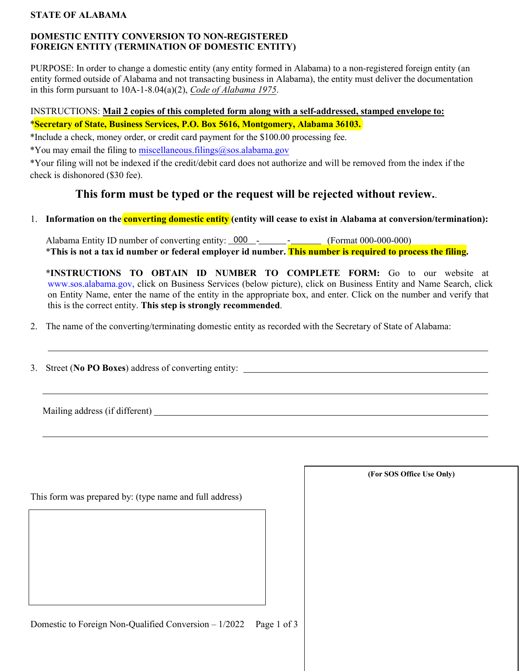# **STATE OF ALABAMA**

# **DOMESTIC ENTITY CONVERSION TO NON-REGISTERED FOREIGN ENTITY (TERMINATION OF DOMESTIC ENTITY)**

PURPOSE: In order to change a domestic entity (any entity formed in Alabama) to a non-registered foreign entity (an entity formed outside of Alabama and not transacting business in Alabama), the entity must deliver the documentation in this form pursuant to 10A-1-8.04(a)(2), *Code of Alabama 1975*.

# INSTRUCTIONS: **Mail 2 copies of this completed form along with a self-addressed, stamped envelope to:** \***Secretary of State, Business Services, P.O. Box 5616, Montgomery, Alabama 36103.**

\*Include a check, money order, or credit card payment for the \$100.00 processing fee.

\*You may email the filing to miscellaneous.filings@sos.alabama.gov

\*Your filing will not be indexed if the credit/debit card does not authorize and will be removed from the index if the check is dishonored (\$30 fee).

# **This form must be typed or the request will be rejected without review.**.

# 1. **Information on the converting domestic entity (entity will cease to exist in Alabama at conversion/termination):**

Alabama Entity ID number of converting entity:  $\frac{000}{1}$  - \_\_\_\_\_\_\_\_\_\_\_\_\_\_\_\_\_\_\_ (Format 000-000-000) \***This is not a tax id number or federal employer id number. This number is required to process the filing.**

\***INSTRUCTIONS TO OBTAIN ID NUMBER TO COMPLETE FORM:** Go to our website at [www.sos.alabama.gov](http://www.sos.alabama.gov/), click on Business Services (below picture), click on Business Entity and Name Search, click on Entity Name, enter the name of the entity in the appropriate box, and enter. Click on the number and verify that this is the correct entity. **This step is strongly recommended**.

2. The name of the converting/terminating domestic entity as recorded with the Secretary of State of Alabama:

3. Street (**No PO Boxes**) address of converting entity:

Mailing address (if different)

| This form was prepared by: (type name and full address) |  |  |  |  |  |
|---------------------------------------------------------|--|--|--|--|--|
|                                                         |  |  |  |  |  |
|                                                         |  |  |  |  |  |
|                                                         |  |  |  |  |  |
|                                                         |  |  |  |  |  |

**(For SOS Office Use Only)**

Domestic to Foreign Non-Qualified Conversion – 1/2022 Page 1 of 3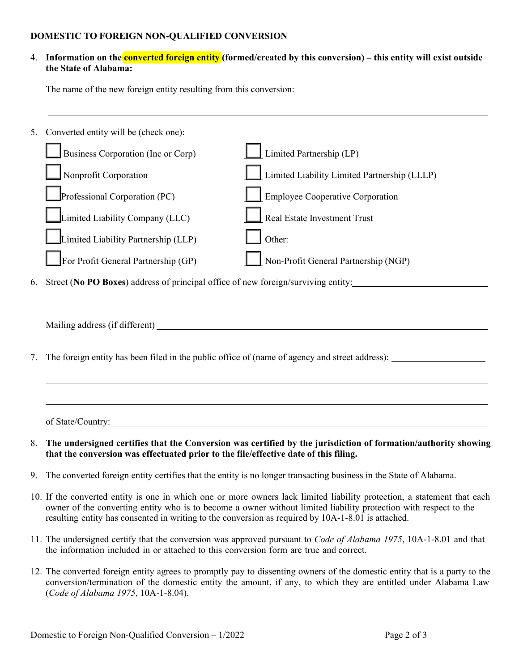#### **DOMESTIC TO FOREIGN NON-QUALIFIED CONVERSION**

# 4. **Information on the converted foreign entity (formed/created by this conversion) – this entity will exist outside the State of Alabama:**

The name of the new foreign entity resulting from this conversion:

| 5. | Converted entity will be (check one):                                                                                                                                                                                                                                                                                                             |                                                                                                                    |  |  |
|----|---------------------------------------------------------------------------------------------------------------------------------------------------------------------------------------------------------------------------------------------------------------------------------------------------------------------------------------------------|--------------------------------------------------------------------------------------------------------------------|--|--|
|    | Business Corporation (Inc or Corp)                                                                                                                                                                                                                                                                                                                | $\Box$ Limited Partnership (LP)                                                                                    |  |  |
|    | Nonprofit Corporation                                                                                                                                                                                                                                                                                                                             | Limited Liability Limited Partnership (LLLP)                                                                       |  |  |
|    | Professional Corporation (PC)                                                                                                                                                                                                                                                                                                                     | <b>Employee Cooperative Corporation</b>                                                                            |  |  |
|    | Limited Liability Company (LLC)                                                                                                                                                                                                                                                                                                                   | Real Estate Investment Trust                                                                                       |  |  |
|    | Limited Liability Partnership (LLP)                                                                                                                                                                                                                                                                                                               | Other:                                                                                                             |  |  |
|    | For Profit General Partnership (GP)                                                                                                                                                                                                                                                                                                               | Non-Profit General Partnership (NGP)                                                                               |  |  |
| 6. | Street (No PO Boxes) address of principal office of new foreign/surviving entity:                                                                                                                                                                                                                                                                 |                                                                                                                    |  |  |
|    |                                                                                                                                                                                                                                                                                                                                                   |                                                                                                                    |  |  |
| 7. | The foreign entity has been filed in the public office of (name of agency and street address):                                                                                                                                                                                                                                                    |                                                                                                                    |  |  |
|    |                                                                                                                                                                                                                                                                                                                                                   |                                                                                                                    |  |  |
|    |                                                                                                                                                                                                                                                                                                                                                   |                                                                                                                    |  |  |
| 8. | that the conversion was effectuated prior to the file/effective date of this filing.                                                                                                                                                                                                                                                              | The undersigned certifies that the Conversion was certified by the jurisdiction of formation/authority showing     |  |  |
| 9. | The converted foreign entity certifies that the entity is no longer transacting business in the State of Alabama.                                                                                                                                                                                                                                 |                                                                                                                    |  |  |
|    | 10. If the converted entity is one in which one or more owners lack limited liability protection, a statement that each<br>owner of the converting entity who is to become a owner without limited liability protection with respect to the<br>resulting entity has consented in writing to the conversion as required by 10A-1-8.01 is attached. |                                                                                                                    |  |  |
|    |                                                                                                                                                                                                                                                                                                                                                   | 11. The undersigned certify that the conversion was approved pursuant to Code of Alabama 1975, 10A-1-8.01 and that |  |  |

12. The converted foreign entity agrees to promptly pay to dissenting owners of the domestic entity that is a party to the conversion/termination of the domestic entity the amount, if any, to which they are entitled under Alabama Law (*Code of Alabama 1975*, 10A-1-8.04).

the information included in or attached to this conversion form are true and correct.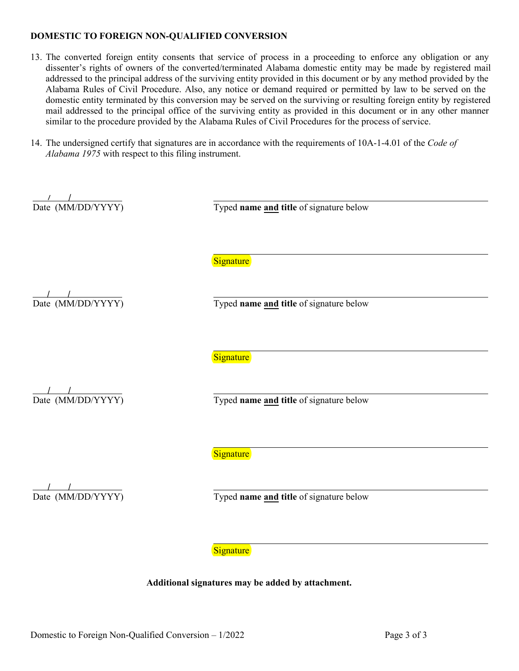#### **DOMESTIC TO FOREIGN NON-QUALIFIED CONVERSION**

- 13. The converted foreign entity consents that service of process in a proceeding to enforce any obligation or any dissenter's rights of owners of the converted/terminated Alabama domestic entity may be made by registered mail addressed to the principal address of the surviving entity provided in this document or by any method provided by the Alabama Rules of Civil Procedure. Also, any notice or demand required or permitted by law to be served on the domestic entity terminated by this conversion may be served on the surviving or resulting foreign entity by registered mail addressed to the principal office of the surviving entity as provided in this document or in any other manner similar to the procedure provided by the Alabama Rules of Civil Procedures for the process of service.
- 14. The undersigned certify that signatures are in accordance with the requirements of 10A-1-4.01 of the *Code of Alabama 1975* with respect to this filing instrument.

| Date (MM/DD/YYYY)                    | Typed name and title of signature below |
|--------------------------------------|-----------------------------------------|
|                                      | Signature                               |
| Date (MM/DD/YYYY)                    | Typed name and title of signature below |
|                                      |                                         |
|                                      | Signature                               |
| $\frac{1}{\text{Date (MM/DD/YYYY)}}$ | Typed name and title of signature below |
|                                      |                                         |
|                                      | Signature                               |
| Date (MM/DD/YYYY)                    | Typed name and title of signature below |
|                                      | Signature                               |
|                                      |                                         |

**Additional signatures may be added by attachment.**